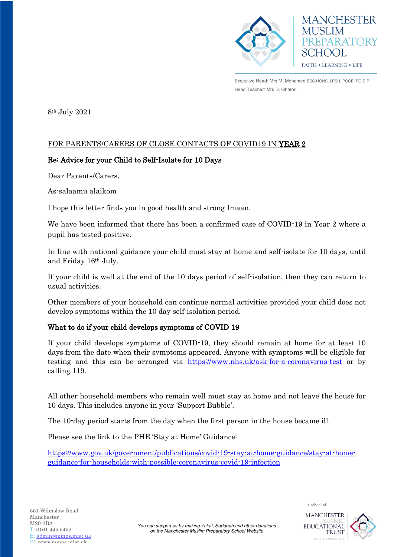

**MANCHESTER MUSLIM** PREPARATORY SCHOOL FAITH . LEARNING . LIFE

Executive Head: Mrs M. Mohamed BSC.HONS, LPSH, PGCE, PG.DIP Head Teacher: Mrs D. Ghafori

8th July 2021

# FOR PARENTS/CARERS OF CLOSE CONTACTS OF COVID19 IN YEAR 2

# Re: Advice for your Child to Self-Isolate for 10 Days

Dear Parents/Carers,

As-salaamu alaikom

I hope this letter finds you in good health and strong Imaan.

We have been informed that there has been a confirmed case of COVID-19 in Year 2 where a pupil has tested positive.

In line with national guidance your child must stay at home and self-isolate for 10 days, until and Friday 16th July.

If your child is well at the end of the 10 days period of self-isolation, then they can return to usual activities.

Other members of your household can continue normal activities provided your child does not develop symptoms within the 10 day self-isolation period.

# What to do if your child develops symptoms of COVID 19

If your child develops symptoms of COVID-19, they should remain at home for at least 10 days from the date when their symptoms appeared. Anyone with symptoms will be eligible for testing and this can be arranged via <https://www.nhs.uk/ask-for-a-coronavirus-test>or by calling 119.

All other household members who remain well must stay at home and not leave the house for 10 days. This includes anyone in your 'Support Bubble'.

The 10-day period starts from the day when the first person in the house became ill.

Please see the link to the PHE 'Stay at Home' Guidance:

[https://www.gov.uk/government/publications/covid-19-stay-at-home-guidance/stay-at-home](https://www.gov.uk/government/publications/covid-19-stay-at-home-guidance/stay-at-home-guidance-for-households-with-possible-coronavirus-covid-19-infection)[guidance-for-households-with-possible-coronavirus-covid-19-infection](https://www.gov.uk/government/publications/covid-19-stay-at-home-guidance/stay-at-home-guidance-for-households-with-possible-coronavirus-covid-19-infection)



**TRUST** 

A school of